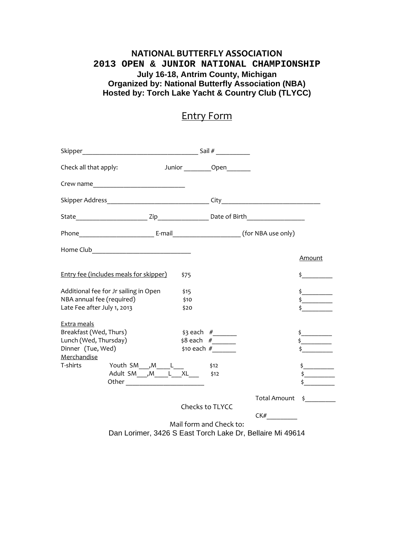## **NATIONAL BUTTERFLY ASSOCIATION 2013 OPEN & JUNIOR NATIONAL CHAMPIONSHIP July 16-18, Antrim County, Michigan Organized by: National Butterfly Association (NBA) Hosted by: Torch Lake Yacht & Country Club (TLYCC)**

## Entry Form

| Check all that apply:                                                                                                                                                                                  |                      | Junior Open                           |                        |               |
|--------------------------------------------------------------------------------------------------------------------------------------------------------------------------------------------------------|----------------------|---------------------------------------|------------------------|---------------|
|                                                                                                                                                                                                        |                      |                                       |                        |               |
|                                                                                                                                                                                                        |                      |                                       |                        |               |
|                                                                                                                                                                                                        |                      |                                       |                        |               |
|                                                                                                                                                                                                        |                      |                                       |                        |               |
|                                                                                                                                                                                                        |                      |                                       |                        | <b>Amount</b> |
| <b>Entry fee (includes meals for skipper)</b>                                                                                                                                                          | \$75                 |                                       |                        | $\frac{1}{2}$ |
| Additional fee for Jr sailing in Open<br>NBA annual fee (required)<br>Late Fee after July 1, 2013                                                                                                      | \$15<br>\$10<br>\$20 |                                       |                        | $\frac{1}{2}$ |
| Extra meals<br>Breakfast (Wed, Thurs)<br>Lunch (Wed, Thursday)<br>Dinner (Tue, Wed)<br>Merchandise<br>Youth $SM$ ___, $M$ _____ L___<br>T-shirts<br>Adult SM $\boxed{M}$ $L$ $KL$ $\sharp$ $\sharp$ 12 |                      | \$3 each $#$<br>\$10 each $#$<br>\$12 |                        | $\frac{1}{2}$ |
|                                                                                                                                                                                                        | Checks to TLYCC      |                                       | Total Amount \$<br>CK# |               |
| Dan Lorimer, 3426 S East Torch Lake Dr, Bellaire Mi 49614                                                                                                                                              |                      | Mail form and Check to:               |                        |               |